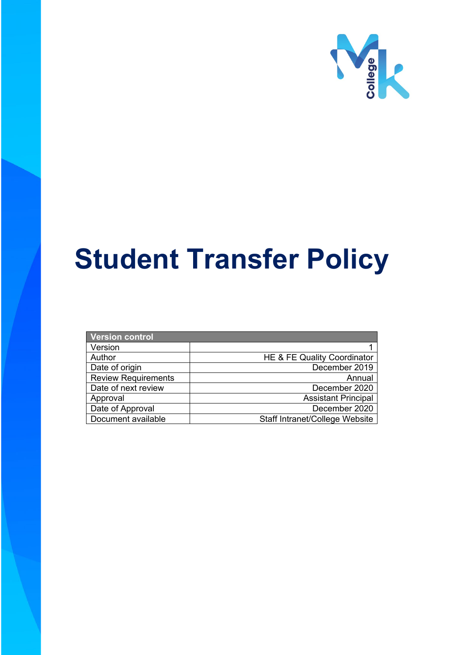

# **Student Transfer Policy**

| Version control            |                                       |
|----------------------------|---------------------------------------|
| Version                    |                                       |
| Author                     | HE & FE Quality Coordinator           |
| Date of origin             | December 2019                         |
| <b>Review Requirements</b> | Annual                                |
| Date of next review        | December 2020                         |
| Approval                   | <b>Assistant Principal</b>            |
| Date of Approval           | December 2020                         |
| Document available         | <b>Staff Intranet/College Website</b> |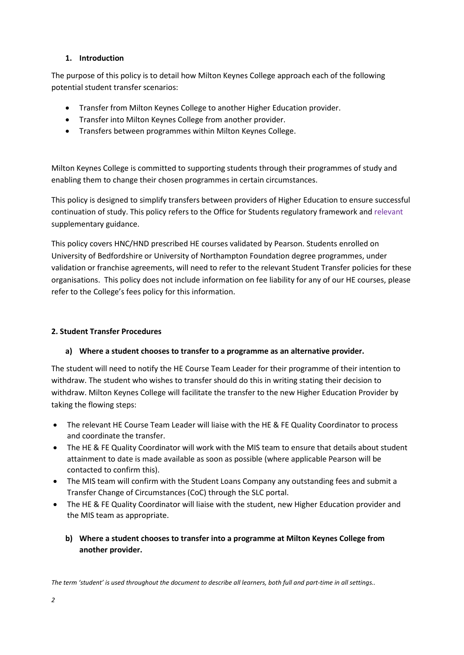## **1. Introduction**

The purpose of this policy is to detail how Milton Keynes College approach each of the following potential student transfer scenarios:

- Transfer from Milton Keynes College to another Higher Education provider.
- Transfer into Milton Keynes College from another provider.
- Transfers between programmes within Milton Keynes College.

Milton Keynes College is committed to supporting students through their programmes of study and enabling them to change their chosen programmes in certain circumstances.

This policy is designed to simplify transfers between providers of Higher Education to ensure successful continuation of study. This policy refers to the Office for Students regulatory framework and relevant supplementary guidance.

This policy covers HNC/HND prescribed HE courses validated by Pearson. Students enrolled on University of Bedfordshire or University of Northampton Foundation degree programmes, under validation or franchise agreements, will need to refer to the relevant Student Transfer policies for these organisations. This policy does not include information on fee liability for any of our HE courses, please refer to the College's fees policy for this information.

## **2. Student Transfer Procedures**

#### **a) Where a student chooses to transfer to a programme as an alternative provider.**

The student will need to notify the HE Course Team Leader for their programme of their intention to withdraw. The student who wishes to transfer should do this in writing stating their decision to withdraw. Milton Keynes College will facilitate the transfer to the new Higher Education Provider by taking the flowing steps:

- The relevant HE Course Team Leader will liaise with the HE & FE Quality Coordinator to process and coordinate the transfer.
- The HE & FE Quality Coordinator will work with the MIS team to ensure that details about student attainment to date is made available as soon as possible (where applicable Pearson will be contacted to confirm this).
- The MIS team will confirm with the Student Loans Company any outstanding fees and submit a Transfer Change of Circumstances (CoC) through the SLC portal.
- The HE & FE Quality Coordinator will liaise with the student, new Higher Education provider and the MIS team as appropriate.
	- **b) Where a student chooses to transfer into a programme at Milton Keynes College from another provider.**

*The term 'student' is used throughout the document to describe all learners, both full and part-time in all settings..*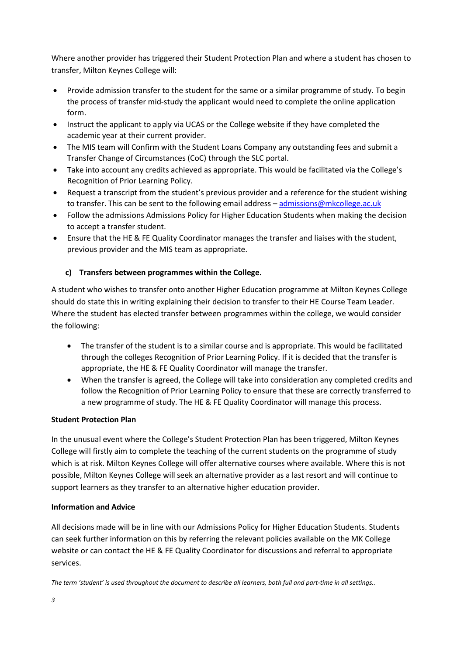Where another provider has triggered their Student Protection Plan and where a student has chosen to transfer, Milton Keynes College will:

- Provide admission transfer to the student for the same or a similar programme of study. To begin the process of transfer mid-study the applicant would need to complete the online application form.
- Instruct the applicant to apply via UCAS or the College website if they have completed the academic year at their current provider.
- The MIS team will Confirm with the Student Loans Company any outstanding fees and submit a Transfer Change of Circumstances (CoC) through the SLC portal.
- Take into account any credits achieved as appropriate. This would be facilitated via the College's Recognition of Prior Learning Policy.
- Request a transcript from the student's previous provider and a reference for the student wishing to transfer. This can be sent to the following email address - [admissions@mkcollege.ac.uk](mailto:admissions@mkcollege.ac.uk)
- Follow the admissions Admissions Policy for Higher Education Students when making the decision to accept a transfer student.
- Ensure that the HE & FE Quality Coordinator manages the transfer and liaises with the student, previous provider and the MIS team as appropriate.

# **c) Transfers between programmes within the College.**

A student who wishes to transfer onto another Higher Education programme at Milton Keynes College should do state this in writing explaining their decision to transfer to their HE Course Team Leader. Where the student has elected transfer between programmes within the college, we would consider the following:

- The transfer of the student is to a similar course and is appropriate. This would be facilitated through the colleges Recognition of Prior Learning Policy. If it is decided that the transfer is appropriate, the HE & FE Quality Coordinator will manage the transfer.
- When the transfer is agreed, the College will take into consideration any completed credits and follow the Recognition of Prior Learning Policy to ensure that these are correctly transferred to a new programme of study. The HE & FE Quality Coordinator will manage this process.

#### **Student Protection Plan**

In the unusual event where the College's Student Protection Plan has been triggered, Milton Keynes College will firstly aim to complete the teaching of the current students on the programme of study which is at risk. Milton Keynes College will offer alternative courses where available. Where this is not possible, Milton Keynes College will seek an alternative provider as a last resort and will continue to support learners as they transfer to an alternative higher education provider.

#### **Information and Advice**

All decisions made will be in line with our Admissions Policy for Higher Education Students. Students can seek further information on this by referring the relevant policies available on the MK College website or can contact the HE & FE Quality Coordinator for discussions and referral to appropriate services.

*The term 'student' is used throughout the document to describe all learners, both full and part-time in all settings..*